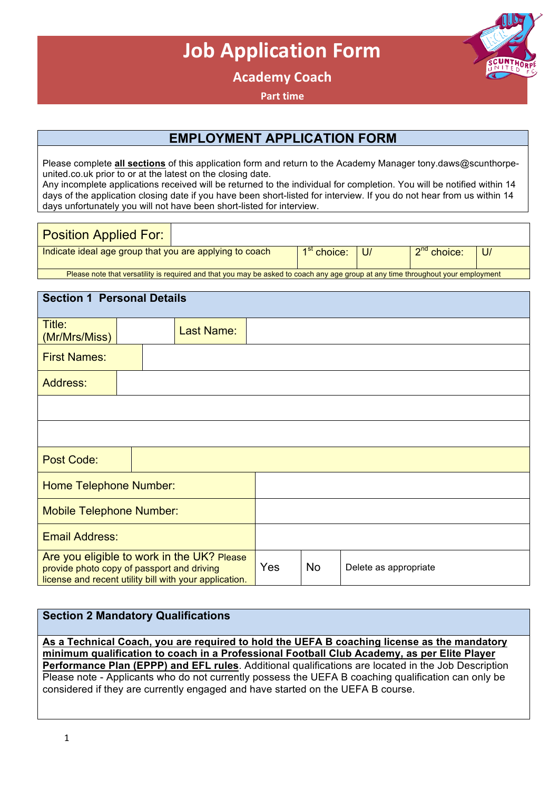# **Job Application Form**

**Academy Coach**

**Part time** 

# **EMPLOYMENT APPLICATION FORM**

Please complete **all sections** of this application form and return to the Academy Manager tony.daws@scunthorpeunited.co.uk prior to or at the latest on the closing date. Any incomplete applications received will be returned to the individual for completion. You will be notified within 14

days of the application closing date if you have been short-listed for interview. If you do not hear from us within 14 days unfortunately you will not have been short-listed for interview.

| <b>Position Applied For:</b>                                                                                                     |  |                            |  |               |             |
|----------------------------------------------------------------------------------------------------------------------------------|--|----------------------------|--|---------------|-------------|
| Indicate ideal age group that you are applying to coach                                                                          |  | 1 <sup>st</sup> choice: U/ |  | $2nd$ choice: | <u>  U/</u> |
| Please note that versatility is required and that you may be asked to coach any age group at any time throughout your employment |  |                            |  |               |             |

| <b>Section 1 Personal Details</b>                                                                                                                  |  |  |                   |           |                       |  |
|----------------------------------------------------------------------------------------------------------------------------------------------------|--|--|-------------------|-----------|-----------------------|--|
| Title:<br>(Mr/Mrs/Miss)                                                                                                                            |  |  | <b>Last Name:</b> |           |                       |  |
| <b>First Names:</b>                                                                                                                                |  |  |                   |           |                       |  |
| <b>Address:</b>                                                                                                                                    |  |  |                   |           |                       |  |
|                                                                                                                                                    |  |  |                   |           |                       |  |
|                                                                                                                                                    |  |  |                   |           |                       |  |
| <b>Post Code:</b>                                                                                                                                  |  |  |                   |           |                       |  |
| <b>Home Telephone Number:</b>                                                                                                                      |  |  |                   |           |                       |  |
| <b>Mobile Telephone Number:</b>                                                                                                                    |  |  |                   |           |                       |  |
| <b>Email Address:</b>                                                                                                                              |  |  |                   |           |                       |  |
| Are you eligible to work in the UK? Please<br>provide photo copy of passport and driving<br>license and recent utility bill with your application. |  |  | Yes               | <b>No</b> | Delete as appropriate |  |

#### **Section 2 Mandatory Qualifications**

**As a Technical Coach, you are required to hold the UEFA B coaching license as the mandatory minimum qualification to coach in a Professional Football Club Academy, as per Elite Player Performance Plan (EPPP) and EFL rules**. Additional qualifications are located in the Job Description Please note - Applicants who do not currently possess the UEFA B coaching qualification can only be considered if they are currently engaged and have started on the UEFA B course.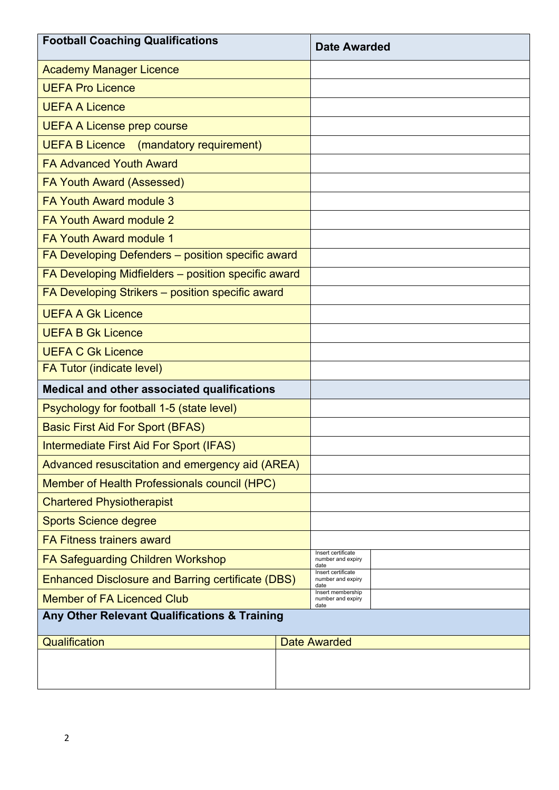| <b>Football Coaching Qualifications</b>                  | <b>Date Awarded</b>                             |  |
|----------------------------------------------------------|-------------------------------------------------|--|
| <b>Academy Manager Licence</b>                           |                                                 |  |
| <b>UEFA Pro Licence</b>                                  |                                                 |  |
| <b>UEFA A Licence</b>                                    |                                                 |  |
| <b>UEFA A License prep course</b>                        |                                                 |  |
| <b>UEFA B Licence</b><br>(mandatory requirement)         |                                                 |  |
| <b>FA Advanced Youth Award</b>                           |                                                 |  |
| <b>FA Youth Award (Assessed)</b>                         |                                                 |  |
| <b>FA Youth Award module 3</b>                           |                                                 |  |
| <b>FA Youth Award module 2</b>                           |                                                 |  |
| FA Youth Award module 1                                  |                                                 |  |
| FA Developing Defenders - position specific award        |                                                 |  |
| FA Developing Midfielders - position specific award      |                                                 |  |
| FA Developing Strikers - position specific award         |                                                 |  |
| <b>UEFA A Gk Licence</b>                                 |                                                 |  |
| <b>UEFA B Gk Licence</b>                                 |                                                 |  |
| <b>UEFA C Gk Licence</b>                                 |                                                 |  |
| FA Tutor (indicate level)                                |                                                 |  |
| <b>Medical and other associated qualifications</b>       |                                                 |  |
| Psychology for football 1-5 (state level)                |                                                 |  |
| <b>Basic First Aid For Sport (BFAS)</b>                  |                                                 |  |
| Intermediate First Aid For Sport (IFAS)                  |                                                 |  |
| Advanced resuscitation and emergency aid (AREA)          |                                                 |  |
| Member of Health Professionals council (HPC)             |                                                 |  |
| <b>Chartered Physiotherapist</b>                         |                                                 |  |
| <b>Sports Science degree</b>                             |                                                 |  |
| <b>FA Fitness trainers award</b>                         |                                                 |  |
| <b>FA Safeguarding Children Workshop</b>                 | Insert certificate<br>number and expiry<br>date |  |
| <b>Enhanced Disclosure and Barring certificate (DBS)</b> | Insert certificate<br>number and expiry<br>date |  |
| <b>Member of FA Licenced Club</b>                        | Insert membership<br>number and expiry<br>date  |  |
| Any Other Relevant Qualifications & Training             |                                                 |  |
| Qualification                                            | <b>Date Awarded</b>                             |  |
|                                                          |                                                 |  |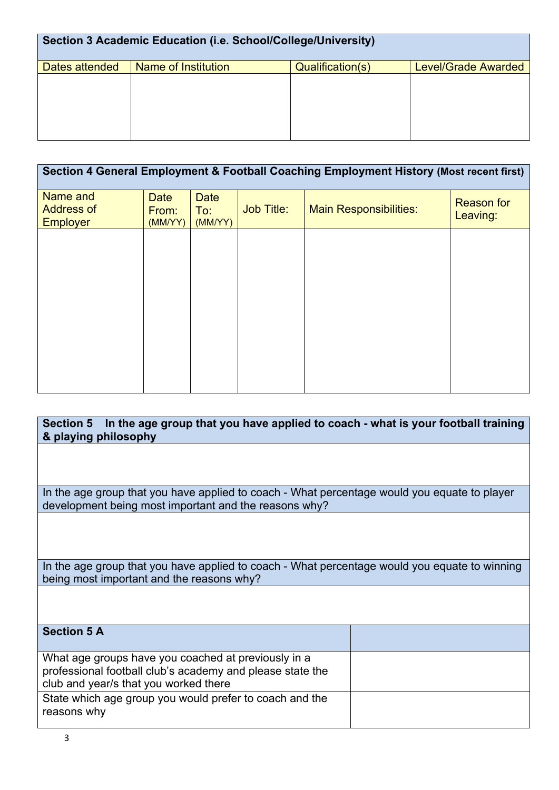| Section 3 Academic Education (i.e. School/College/University) |                     |                  |                            |  |  |
|---------------------------------------------------------------|---------------------|------------------|----------------------------|--|--|
| Dates attended                                                | Name of Institution | Qualification(s) | <b>Level/Grade Awarded</b> |  |  |
|                                                               |                     |                  |                            |  |  |
|                                                               |                     |                  |                            |  |  |
|                                                               |                     |                  |                            |  |  |
|                                                               |                     |                  |                            |  |  |
|                                                               |                     |                  |                            |  |  |

| Section 4 General Employment & Football Coaching Employment History (Most recent first) |                                 |                               |                   |                               |                               |
|-----------------------------------------------------------------------------------------|---------------------------------|-------------------------------|-------------------|-------------------------------|-------------------------------|
| Name and<br><b>Address of</b><br><b>Employer</b>                                        | <b>Date</b><br>From:<br>(MM/YY) | <b>Date</b><br>To:<br>(MM/YY) | <b>Job Title:</b> | <b>Main Responsibilities:</b> | <b>Reason for</b><br>Leaving: |
|                                                                                         |                                 |                               |                   |                               |                               |
|                                                                                         |                                 |                               |                   |                               |                               |
|                                                                                         |                                 |                               |                   |                               |                               |
|                                                                                         |                                 |                               |                   |                               |                               |
|                                                                                         |                                 |                               |                   |                               |                               |

**Section 5 In the age group that you have applied to coach - what is your football training & playing philosophy**  In the age group that you have applied to coach - What percentage would you equate to player development being most important and the reasons why? In the age group that you have applied to coach - What percentage would you equate to winning being most important and the reasons why? **Section 5 A**

What age groups have you coached at previously in a professional football club's academy and please state the club and year/s that you worked there State which age group you would prefer to coach and the reasons why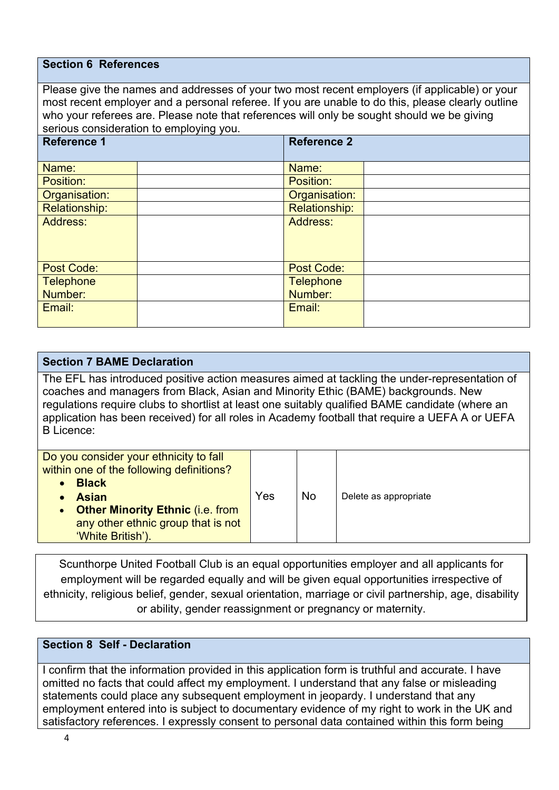#### **Section 6 References**

Please give the names and addresses of your two most recent employers (if applicable) or your most recent employer and a personal referee. If you are unable to do this, please clearly outline who your referees are. Please note that references will only be sought should we be giving serious consideration to employing you.

| $\frac{1}{2}$        |  |                      |  |  |  |
|----------------------|--|----------------------|--|--|--|
| <b>Reference 1</b>   |  | <b>Reference 2</b>   |  |  |  |
|                      |  |                      |  |  |  |
| Name:                |  | Name:                |  |  |  |
| Position:            |  | Position:            |  |  |  |
| Organisation:        |  | Organisation:        |  |  |  |
| <b>Relationship:</b> |  | <b>Relationship:</b> |  |  |  |
| Address:             |  | Address:             |  |  |  |
|                      |  |                      |  |  |  |
|                      |  |                      |  |  |  |
|                      |  |                      |  |  |  |
| <b>Post Code:</b>    |  | <b>Post Code:</b>    |  |  |  |
| <b>Telephone</b>     |  | <b>Telephone</b>     |  |  |  |
| Number:              |  | Number:              |  |  |  |
| Email:               |  | Email:               |  |  |  |
|                      |  |                      |  |  |  |

#### **Section 7 BAME Declaration**

The EFL has introduced positive action measures aimed at tackling the under-representation of coaches and managers from Black, Asian and Minority Ethic (BAME) backgrounds. New regulations require clubs to shortlist at least one suitably qualified BAME candidate (where an application has been received) for all roles in Academy football that require a UEFA A or UEFA B Licence:

| Do you consider your ethnicity to fall<br>within one of the following definitions?<br><b>Black</b><br><b>Asian</b><br>• Other Minority Ethnic (i.e. from<br>any other ethnic group that is not<br>'White British'). | Yes | No | Delete as appropriate |
|---------------------------------------------------------------------------------------------------------------------------------------------------------------------------------------------------------------------|-----|----|-----------------------|
|                                                                                                                                                                                                                     |     |    |                       |

Scunthorpe United Football Club is an equal opportunities employer and all applicants for employment will be regarded equally and will be given equal opportunities irrespective of ethnicity, religious belief, gender, sexual orientation, marriage or civil partnership, age, disability or ability, gender reassignment or pregnancy or maternity.

### **Section 8 Self - Declaration**

I confirm that the information provided in this application form is truthful and accurate. I have omitted no facts that could affect my employment. I understand that any false or misleading statements could place any subsequent employment in jeopardy. I understand that any employment entered into is subject to documentary evidence of my right to work in the UK and satisfactory references. I expressly consent to personal data contained within this form being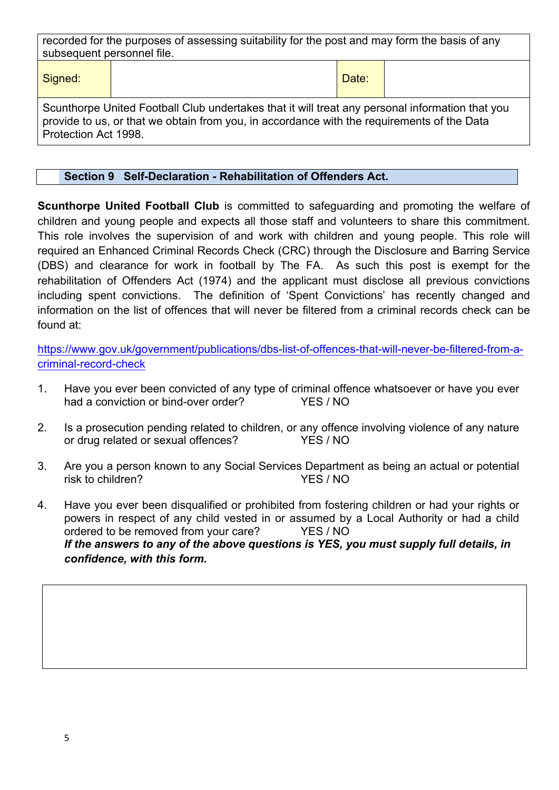recorded for the purposes of assessing suitability for the post and may form the basis of any subsequent personnel file.

Signed:  $\vert$  Date:

Scunthorpe United Football Club undertakes that it will treat any personal information that you provide to us, or that we obtain from you, in accordance with the requirements of the Data Protection Act 1998.

## **Section 9 Self-Declaration - Rehabilitation of Offenders Act.**

**Scunthorpe United Football Club** is committed to safeguarding and promoting the welfare of children and young people and expects all those staff and volunteers to share this commitment. This role involves the supervision of and work with children and young people. This role will required an Enhanced Criminal Records Check (CRC) through the Disclosure and Barring Service (DBS) and clearance for work in football by The FA. As such this post is exempt for the rehabilitation of Offenders Act (1974) and the applicant must disclose all previous convictions including spent convictions. The definition of 'Spent Convictions' has recently changed and information on the list of offences that will never be filtered from a criminal records check can be found at:

https://www.gov.uk/government/publications/dbs-list-of-offences-that-will-never-be-filtered-from-acriminal-record-check

- 1. Have you ever been convicted of any type of criminal offence whatsoever or have you ever had a conviction or bind-over order? YES / NO
- 2. Is a prosecution pending related to children, or any offence involving violence of any nature or drug related or sexual offences? YES / NO
- 3. Are you a person known to any Social Services Department as being an actual or potential risk to children? YES / NO
- 4. Have you ever been disqualified or prohibited from fostering children or had your rights or powers in respect of any child vested in or assumed by a Local Authority or had a child ordered to be removed from your care? YES / NO *If the answers to any of the above questions is YES, you must supply full details, in confidence, with this form.*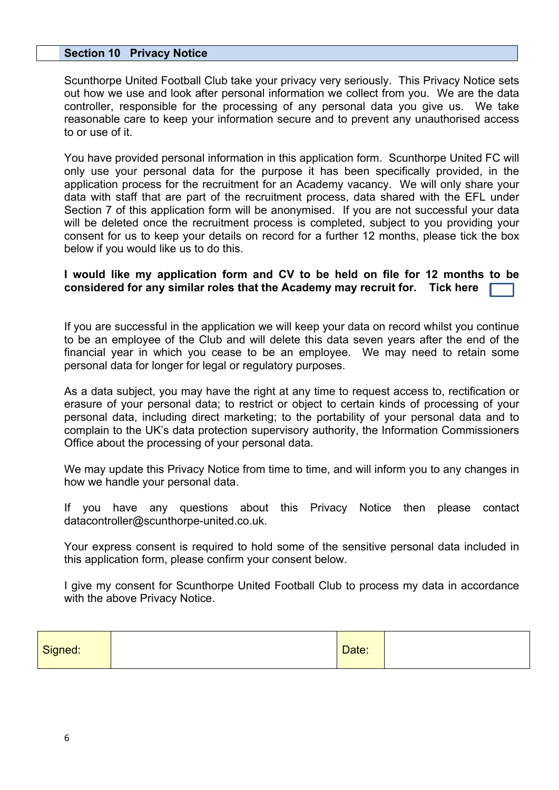#### **Section 10 Privacy Notice**

Scunthorpe United Football Club take your privacy very seriously. This Privacy Notice sets out how we use and look after personal information we collect from you. We are the data controller, responsible for the processing of any personal data you give us. We take reasonable care to keep your information secure and to prevent any unauthorised access to or use of it.

You have provided personal information in this application form. Scunthorpe United FC will only use your personal data for the purpose it has been specifically provided, in the application process for the recruitment for an Academy vacancy. We will only share your data with staff that are part of the recruitment process, data shared with the EFL under Section 7 of this application form will be anonymised. If you are not successful your data will be deleted once the recruitment process is completed, subject to you providing your consent for us to keep your details on record for a further 12 months, please tick the box below if you would like us to do this.

#### **I would like my application form and CV to be held on file for 12 months to be considered for any similar roles that the Academy may recruit for. Tick here**

If you are successful in the application we will keep your data on record whilst you continue to be an employee of the Club and will delete this data seven years after the end of the financial year in which you cease to be an employee. We may need to retain some personal data for longer for legal or regulatory purposes.

As a data subject, you may have the right at any time to request access to, rectification or erasure of your personal data; to restrict or object to certain kinds of processing of your personal data, including direct marketing; to the portability of your personal data and to complain to the UK's data protection supervisory authority, the Information Commissioners Office about the processing of your personal data.

We may update this Privacy Notice from time to time, and will inform you to any changes in how we handle your personal data.

If you have any questions about this Privacy Notice then please contact datacontroller@scunthorpe-united.co.uk.

Your express consent is required to hold some of the sensitive personal data included in this application form, please confirm your consent below.

I give my consent for Scunthorpe United Football Club to process my data in accordance with the above Privacy Notice.

| Signed: |  | Date: |  |
|---------|--|-------|--|
|---------|--|-------|--|